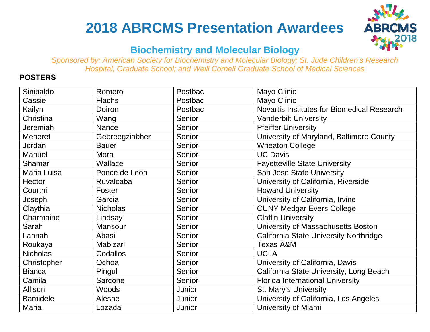# **2018 ABRCMS Presentation Awardees**



### **Biochemistry and Molecular Biology**

*Sponsored by: American Society for Biochemistry and Molecular Biology; St. Jude Children's Research Hospital, Graduate School; and Weill Cornell Graduate School of Medical Sciences*

| Sinibaldo       | Romero          | Postbac       | <b>Mayo Clinic</b>                          |
|-----------------|-----------------|---------------|---------------------------------------------|
| Cassie          | <b>Flachs</b>   | Postbac       | Mayo Clinic                                 |
| Kailyn          | <b>Doiron</b>   | Postbac       | Novartis Institutes for Biomedical Research |
| Christina       | Wang            | Senior        | <b>Vanderbilt University</b>                |
| <b>Jeremiah</b> | <b>Nance</b>    | Senior        | <b>Pfeiffer University</b>                  |
| <b>Meheret</b>  | Gebreegziabher  | <b>Senior</b> | University of Maryland, Baltimore County    |
| Jordan          | <b>Bauer</b>    | <b>Senior</b> | <b>Wheaton College</b>                      |
| <b>Manuel</b>   | Mora            | Senior        | <b>UC Davis</b>                             |
| Shamar          | Wallace         | Senior        | <b>Fayetteville State University</b>        |
| Maria Luisa     | Ponce de Leon   | Senior        | San Jose State University                   |
| Hector          | Ruvalcaba       | Senior        | University of California, Riverside         |
| Courtni         | Foster          | Senior        | <b>Howard University</b>                    |
| Joseph          | Garcia          | Senior        | University of California, Irvine            |
| Claythia        | <b>Nicholas</b> | Senior        | <b>CUNY Medgar Evers College</b>            |
| Charmaine       | Lindsay         | <b>Senior</b> | <b>Claflin University</b>                   |
| Sarah           | <b>Mansour</b>  | <b>Senior</b> | University of Massachusetts Boston          |
| Lannah          | Abasi           | Senior        | California State University Northridge      |
| Roukaya         | Mabizari        | Senior        | <b>Texas A&amp;M</b>                        |
| <b>Nicholas</b> | Codallos        | Senior        | <b>UCLA</b>                                 |
| Christopher     | Ochoa           | <b>Senior</b> | University of California, Davis             |
| <b>Bianca</b>   | Pingul          | Senior        | California State University, Long Beach     |
| Camila          | Sarcone         | <b>Senior</b> | <b>Florida International University</b>     |
| Allison         | <b>Woods</b>    | Junior        | St. Mary's University                       |
| <b>Bamidele</b> | Aleshe          | Junior        | University of California, Los Angeles       |
| <b>Maria</b>    | Lozada          | Junior        | University of Miami                         |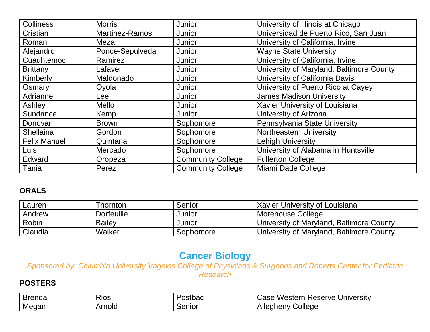| <b>Colliness</b>    | <b>Morris</b>         | Junior                   | University of Illinois at Chicago        |
|---------------------|-----------------------|--------------------------|------------------------------------------|
| Cristian            | <b>Martinez-Ramos</b> | Junior                   | Universidad de Puerto Rico, San Juan     |
| Roman               | Meza                  | Junior                   | University of California, Irvine         |
| Alejandro           | Ponce-Sepulveda       | Junior                   | <b>Wayne State University</b>            |
| Cuauhtemoc          | Ramirez               | Junior                   | University of California, Irvine         |
| <b>Brittany</b>     | Lafaver               | Junior                   | University of Maryland, Baltimore County |
| Kimberly            | Maldonado             | Junior                   | University of California Davis           |
| Osmary              | Oyola                 | Junior                   | University of Puerto Rico at Cayey       |
| Adrianne            | Lee                   | Junior                   | <b>James Madison University</b>          |
| Ashley              | <b>Mello</b>          | Junior                   | Xavier University of Louisiana           |
| Sundance            | Kemp                  | Junior                   | University of Arizona                    |
| Donovan             | <b>Brown</b>          | Sophomore                | Pennsylvania State University            |
| <b>Shellaina</b>    | Gordon                | Sophomore                | Northeastern University                  |
| <b>Felix Manuel</b> | Quintana              | Sophomore                | <b>Lehigh University</b>                 |
| <b>Luis</b>         | Mercado               | Sophomore                | University of Alabama in Huntsville      |
| Edward              | Oropeza               | <b>Community College</b> | <b>Fullerton College</b>                 |
| Tania               | Perez                 | <b>Community College</b> | Miami Dade College                       |

| Lauren  | Thornton          | Senior    | Xavier University of Louisiana           |
|---------|-------------------|-----------|------------------------------------------|
| Andrew  | <b>Dorfeuille</b> | Junior    | ' Morehouse College                      |
| Robin   | <b>Bailey</b>     | Junior    | University of Maryland, Baltimore County |
| Claudia | Walker            | Sophomore | University of Maryland, Baltimore County |

# **Cancer Biology**

*Sponsored by: Columbia University Vagelos College of Physicians & Surgeons and Roberts Center for Pediatric Research*

| ∽<br><b>Brenda</b> | -<br>Rios | ostbac | Western<br>University<br>Reserve<br>aseٽ |
|--------------------|-----------|--------|------------------------------------------|
| Megan              | Arnold    | Senior | College<br>Allegheny                     |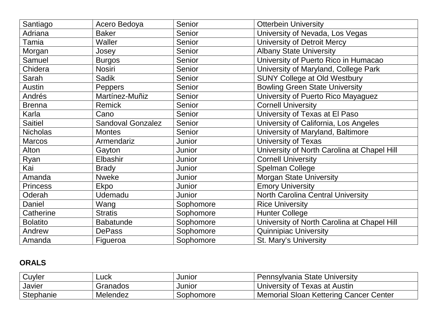| Santiago        | Acero Bedoya             | Senior        | <b>Otterbein University</b>                 |
|-----------------|--------------------------|---------------|---------------------------------------------|
| Adriana         | <b>Baker</b>             | <b>Senior</b> | University of Nevada, Los Vegas             |
| Tamia           | <b>Waller</b>            | Senior        | University of Detroit Mercy                 |
| Morgan          | Josey                    | Senior        | <b>Albany State University</b>              |
| Samuel          | <b>Burgos</b>            | <b>Senior</b> | University of Puerto Rico in Humacao        |
| Chidera         | <b>Nosiri</b>            | Senior        | University of Maryland, College Park        |
| Sarah           | <b>Sadik</b>             | <b>Senior</b> | <b>SUNY College at Old Westbury</b>         |
| Austin          | Peppers                  | <b>Senior</b> | <b>Bowling Green State University</b>       |
| Andrés          | Martínez-Muñiz           | <b>Senior</b> | University of Puerto Rico Mayaguez          |
| <b>Brenna</b>   | <b>Remick</b>            | <b>Senior</b> | <b>Cornell University</b>                   |
| Karla           | Cano                     | Senior        | University of Texas at El Paso              |
| <b>Saitiel</b>  | <b>Sandoval Gonzalez</b> | <b>Senior</b> | University of California, Los Angeles       |
| <b>Nicholas</b> | <b>Montes</b>            | Senior        | University of Maryland, Baltimore           |
| <b>Marcos</b>   | Armendariz               | Junior        | <b>University of Texas</b>                  |
| Alton           | Gayton                   | Junior        | University of North Carolina at Chapel Hill |
| Ryan            | Elbashir                 | Junior        | <b>Cornell University</b>                   |
| Kai             | <b>Brady</b>             | Junior        | <b>Spelman College</b>                      |
| Amanda          | <b>Nweke</b>             | Junior        | <b>Morgan State University</b>              |
| <b>Princess</b> | Ekpo                     | Junior        | <b>Emory University</b>                     |
| Oderah          | <b>Udemadu</b>           | Junior        | <b>North Carolina Central University</b>    |
| Daniel          | Wang                     | Sophomore     | <b>Rice University</b>                      |
| Catherine       | <b>Stratis</b>           | Sophomore     | <b>Hunter College</b>                       |
| <b>Bolatito</b> | <b>Babatunde</b>         | Sophomore     | University of North Carolina at Chapel Hill |
| Andrew          | <b>DePass</b>            | Sophomore     | <b>Quinnipiac University</b>                |
| Amanda          | Figueroa                 | Sophomore     | <b>St. Mary's University</b>                |

| Cuyler    | Luck     | Junior    | Pennsylvania State University                 |
|-----------|----------|-----------|-----------------------------------------------|
| Javier    | Granados | Junior    | University of $\top$<br>Texas at Austin       |
| Stephanie | Melendez | Sophomore | <b>Memorial Sloan Kettering Cancer Center</b> |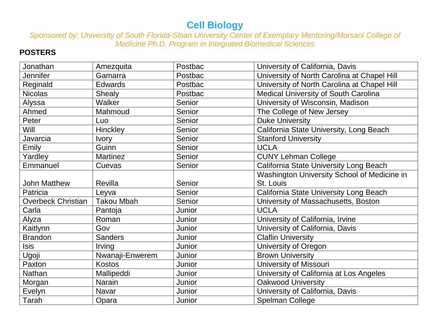# **Cell Biology**

*Sponsored by: University of South Florida-Sloan University Center of Exemplary Mentoring/Morsani College of Medicine Ph.D. Program in Integrated Biomedical Sciences*

| Jonathan                  | Amezquita         | Postbac | University of California, Davis             |
|---------------------------|-------------------|---------|---------------------------------------------|
| <b>Jennifer</b>           | Gamarra           | Postbac | University of North Carolina at Chapel Hill |
| Reginald                  | <b>Edwards</b>    | Postbac | University of North Carolina at Chapel Hill |
| <b>Nicolas</b>            | <b>Shealy</b>     | Postbac | <b>Medical University of South Carolina</b> |
| Alyssa                    | Walker            | Senior  | University of Wisconsin, Madison            |
| Ahmed                     | Mahmoud           | Senior  | The College of New Jersey                   |
| Peter                     | Luo               | Senior  | <b>Duke University</b>                      |
| Will                      | Hinckley          | Senior  | California State University, Long Beach     |
| Javarcia                  | <b>Ivory</b>      | Senior  | <b>Stanford University</b>                  |
| Emily                     | Guinn             | Senior  | <b>UCLA</b>                                 |
| Yardley                   | <b>Martinez</b>   | Senior  | <b>CUNY Lehman College</b>                  |
| Emmanuel                  | Cuevas            | Senior  | California State University Long Beach      |
|                           |                   |         | Washington University School of Medicine in |
| <b>John Matthew</b>       | Revilla           | Senior  | St. Louis                                   |
| Patricia                  | Leyva             | Senior  | California State University Long Beach      |
| <b>Overbeck Christian</b> | <b>Takou Mbah</b> | Senior  | University of Massachusetts, Boston         |
| Carla                     | Pantoja           | Junior  | <b>UCLA</b>                                 |
| Alyza                     | Roman             | Junior  | University of California, Irvine            |
| Kaitlynn                  | Gov               | Junior  | University of California, Davis             |
| <b>Brandon</b>            | <b>Sanders</b>    | Junior  | <b>Claflin University</b>                   |
| Isis                      | Irving            | Junior  | University of Oregon                        |
| Ugoji                     | Nwanaji-Enwerem   | Junior  | <b>Brown University</b>                     |
| Paxton                    | <b>Kostos</b>     | Junior  | <b>University of Missouri</b>               |
| Nathan                    | Mallipeddi        | Junior  | University of California at Los Angeles     |
| Morgan                    | <b>Narain</b>     | Junior  | <b>Oakwood University</b>                   |
| Evelyn                    | <b>Navar</b>      | Junior  | University of California, Davis             |
| Tarah                     | Opara             | Junior  | Spelman College                             |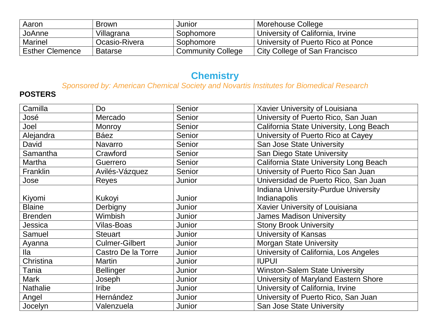| Aaron                  | <b>Brown</b>   | Junior                   | Morehouse College                  |
|------------------------|----------------|--------------------------|------------------------------------|
| JoAnne                 | Villagrana     | Sophomore                | University of California, Irvine   |
| Marinel                | Ocasio-Rivera  | Sophomore                | University of Puerto Rico at Ponce |
| <b>Esther Clemence</b> | <b>Batarse</b> | <b>Community College</b> | City College of San Francisco      |

# **Chemistry**

*Sponsored by: American Chemical Society and Novartis Institutes for Biomedical Research*

| Camilla         | Do                    | Senior | Xavier University of Louisiana              |
|-----------------|-----------------------|--------|---------------------------------------------|
| José            | Mercado               | Senior | University of Puerto Rico, San Juan         |
| Joel            | <b>Monroy</b>         | Senior | California State University, Long Beach     |
| Alejandra       | Báez                  | Senior | University of Puerto Rico at Cayey          |
| David           | Navarro               | Senior | <b>San Jose State University</b>            |
| Samantha        | Crawford              | Senior | San Diego State University                  |
| Martha          | Guerrero              | Senior | California State University Long Beach      |
| Franklin        | Avilés-Vázquez        | Senior | University of Puerto Rico San Juan          |
| Jose            | Reyes                 | Junior | Universidad de Puerto Rico, San Juan        |
|                 |                       |        | <b>Indiana University-Purdue University</b> |
| Kiyomi          | Kukoyi                | Junior | Indianapolis                                |
| <b>Blaine</b>   | Derbigny              | Junior | Xavier University of Louisiana              |
| <b>Brenden</b>  | <b>Wimbish</b>        | Junior | <b>James Madison University</b>             |
| Jessica         | <b>Vilas-Boas</b>     | Junior | <b>Stony Brook University</b>               |
| Samuel          | <b>Steuart</b>        | Junior | University of Kansas                        |
| Ayanna          | <b>Culmer-Gilbert</b> | Junior | <b>Morgan State University</b>              |
| lla             | Castro De la Torre    | Junior | University of California, Los Angeles       |
| Christina       | <b>Martin</b>         | Junior | <b>IUPUI</b>                                |
| Tania           | <b>Bellinger</b>      | Junior | <b>Winston-Salem State University</b>       |
| <b>Mark</b>     | Joseph                | Junior | University of Maryland Eastern Shore        |
| <b>Nathalie</b> | <b>Iribe</b>          | Junior | University of California, Irvine            |
| Angel           | Hernández             | Junior | University of Puerto Rico, San Juan         |
| Jocelyn         | Valenzuela            | Junior | San Jose State University                   |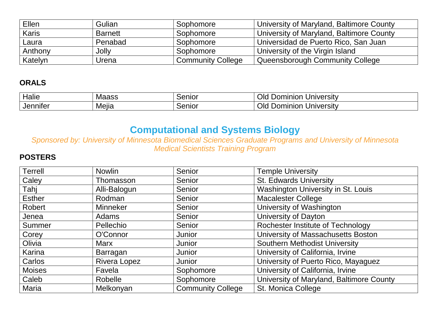| Ellen        | Gulian         | Sophomore                | University of Maryland, Baltimore County |
|--------------|----------------|--------------------------|------------------------------------------|
| <b>Karis</b> | <b>Barnett</b> | Sophomore                | University of Maryland, Baltimore County |
| Laura        | Penabad        | Sophomore                | Universidad de Puerto Rico, San Juan     |
| Anthony      | Jolly          | Sophomore                | University of the Virgin Island          |
| Katelyn      | Urena          | <b>Community College</b> | Queensborough Community College          |

| Halie                  | <b>Maass</b> | Senior      | Jniversity<br>ominion<br>Old<br>⊃or    |
|------------------------|--------------|-------------|----------------------------------------|
| . .<br><b>Jenniter</b> | .<br>Mella   | -<br>Senior | Jniversity<br>Old<br>ominion<br>ווטע " |

# **Computational and Systems Biology**

*Sponsored by: University of Minnesota Biomedical Sciences Graduate Programs and University of Minnesota Medical Scientists Training Program*

| <b>Terrell</b> | <b>Nowlin</b>       | Senior                   | <b>Temple University</b>                 |
|----------------|---------------------|--------------------------|------------------------------------------|
| Caley          | Thomasson           | Senior                   | <b>St. Edwards University</b>            |
| Tahi           | Alli-Balogun        | Senior                   | Washington University in St. Louis       |
| <b>Esther</b>  | Rodman              | Senior                   | <b>Macalester College</b>                |
| Robert         | <b>Minneker</b>     | Senior                   | University of Washington                 |
| Jenea          | Adams               | Senior                   | University of Dayton                     |
| Summer         | Pellechio           | Senior                   | Rochester Institute of Technology        |
| Corey          | O'Connor            | Junior                   | University of Massachusetts Boston       |
| Olivia         | <b>Marx</b>         | Junior                   | <b>Southern Methodist University</b>     |
| Karina         | Barragan            | Junior                   | University of California, Irvine         |
| Carlos         | <b>Rivera Lopez</b> | Junior                   | University of Puerto Rico, Mayaguez      |
| <b>Moises</b>  | Favela              | Sophomore                | University of California, Irvine         |
| Caleb          | Robelle             | Sophomore                | University of Maryland, Baltimore County |
| Maria          | Melkonyan           | <b>Community College</b> | St. Monica College                       |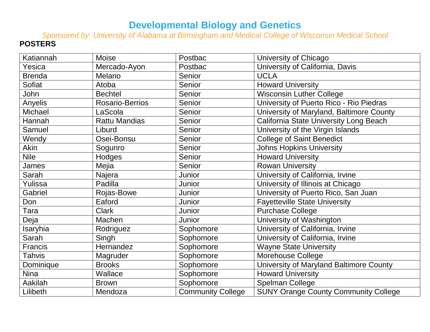# **Developmental Biology and Genetics**

*Sponsored by: University of Alabama at Birmingham and Medical College of Wisconsin Medical School* **POSTERS**

| Katiannah      | Moise                | Postbac                  | University of Chicago                       |
|----------------|----------------------|--------------------------|---------------------------------------------|
| Yesica         | Mercado-Ayon         | Postbac                  | University of California, Davis             |
| <b>Brenda</b>  | Melano               | Senior                   | <b>UCLA</b>                                 |
| <b>Sofiat</b>  | Atoba                | Senior                   | <b>Howard University</b>                    |
| John           | <b>Bechtel</b>       | Senior                   | <b>Wisconsin Luther College</b>             |
| Anyelis        | Rosario-Berrios      | Senior                   | University of Puerto Rico - Rio Piedras     |
| Michael        | LaScola              | Senior                   | University of Maryland, Baltimore County    |
| Hannah         | <b>Rattu Mandias</b> | Senior                   | California State University Long Beach      |
| Samuel         | Liburd               | Senior                   | University of the Virgin Islands            |
| Wendy          | Osei-Bonsu           | Senior                   | <b>College of Saint Benedict</b>            |
| Akin           | Sogunro              | Senior                   | <b>Johns Hopkins University</b>             |
| <b>Nile</b>    | Hodges               | Senior                   | <b>Howard University</b>                    |
| James          | Mejia                | Senior                   | <b>Rowan University</b>                     |
| Sarah          | Najera               | Junior                   | University of California, Irvine            |
| Yulissa        | Padilla              | Junior                   | University of Illinois at Chicago           |
| Gabriel        | Rojas-Bowe           | Junior                   | University of Puerto Rico, San Juan         |
| Don            | Eaford               | Junior                   | <b>Fayetteville State University</b>        |
| Tara           | <b>Clark</b>         | Junior                   | <b>Purchase College</b>                     |
| Deja           | Machen               | Junior                   | University of Washington                    |
| Isaryhia       | Rodriguez            | Sophomore                | University of California, Irvine            |
| Sarah          | Singh                | Sophomore                | University of California, Irvine            |
| <b>Francis</b> | Hernandez            | Sophomore                | <b>Wayne State University</b>               |
| <b>Tahvis</b>  | Magruder             | Sophomore                | Morehouse College                           |
| Dominique      | <b>Brooks</b>        | Sophomore                | University of Maryland Baltimore County     |
| <b>Nina</b>    | Wallace              | Sophomore                | <b>Howard University</b>                    |
| Aakilah        | <b>Brown</b>         | Sophomore                | <b>Spelman College</b>                      |
| Lilibeth       | Mendoza              | <b>Community College</b> | <b>SUNY Orange County Community College</b> |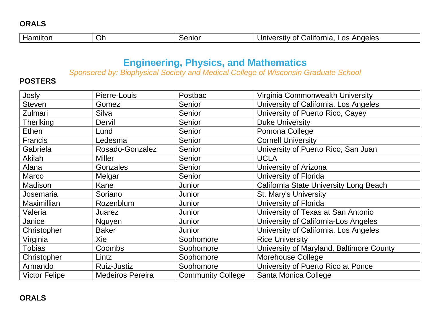| Oh<br>Anaeles<br>∟OS<br>∵ alıfornıa<br><b></b><br>nt.<br>enio<br>.<br>11781 SITY |
|----------------------------------------------------------------------------------|
|----------------------------------------------------------------------------------|

# **Engineering, Physics, and Mathematics**

*Sponsored by: Biophysical Society and Medical College of Wisconsin Graduate School*

| Josly                | Pierre-Louis            | Postbac                  | Virginia Commonwealth University         |
|----------------------|-------------------------|--------------------------|------------------------------------------|
| <b>Steven</b>        | Gomez                   | Senior                   | University of California, Los Angeles    |
| Zulmari              | Silva                   | Senior                   | University of Puerto Rico, Cayey         |
| <b>Therlking</b>     | Dervil                  | Senior                   | <b>Duke University</b>                   |
| <b>Ethen</b>         | Lund                    | Senior                   | Pomona College                           |
| <b>Francis</b>       | Ledesma                 | Senior                   | <b>Cornell University</b>                |
| Gabriela             | Rosado-Gonzalez         | Senior                   | University of Puerto Rico, San Juan      |
| Akilah               | <b>Miller</b>           | Senior                   | <b>UCLA</b>                              |
| Alana                | <b>Gonzales</b>         | Senior                   | University of Arizona                    |
| Marco                | Melgar                  | Senior                   | University of Florida                    |
| Madison              | Kane                    | Junior                   | California State University Long Beach   |
| Josemaria            | Soriano                 | Junior                   | St. Mary's University                    |
| <b>Maximillian</b>   | Rozenblum               | Junior                   | University of Florida                    |
| Valeria              | Juarez                  | Junior                   | University of Texas at San Antonio       |
| Janice               | <b>Nguyen</b>           | Junior                   | University of California-Los Angeles     |
| Christopher          | <b>Baker</b>            | Junior                   | University of California, Los Angeles    |
| Virginia             | Xie                     | Sophomore                | <b>Rice University</b>                   |
| Tobias               | <b>Coombs</b>           | Sophomore                | University of Maryland, Baltimore County |
| Christopher          | Lintz                   | Sophomore                | Morehouse College                        |
| Armando              | <b>Ruiz-Justiz</b>      | Sophomore                | University of Puerto Rico at Ponce       |
| <b>Victor Felipe</b> | <b>Medeiros Pereira</b> | <b>Community College</b> | Santa Monica College                     |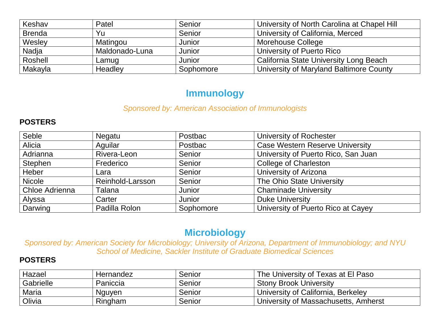| Keshav        | Patel          | Senior    | University of North Carolina at Chapel Hill |
|---------------|----------------|-----------|---------------------------------------------|
| <b>Brenda</b> | Yu             | Senior    | University of California, Merced            |
| Wesley        | Matingou       | Junior    | <b>Morehouse College</b>                    |
| Nadja         | Maldonado-Luna | Junior    | University of Puerto Rico                   |
| Roshell       | Lamug          | Junior    | California State University Long Beach      |
| Makayla       | Headley        | Sophomore | University of Maryland Baltimore County     |

### **Immunology**

#### *Sponsored by: American Association of Immunologists*

#### **POSTERS**

| Seble          | Negatu           | Postbac   | University of Rochester                |
|----------------|------------------|-----------|----------------------------------------|
| Alicia         | Aquilar          | Postbac   | <b>Case Western Reserve University</b> |
| Adrianna       | Rivera-Leon      | Senior    | University of Puerto Rico, San Juan    |
| Stephen        | Frederico        | Senior    | <b>College of Charleston</b>           |
| Heber          | Lara             | Senior    | University of Arizona                  |
| <b>Nicole</b>  | Reinhold-Larsson | Senior    | The Ohio State University              |
| Chloe Adrienna | Talana           | Junior    | <b>Chaminade University</b>            |
| Alyssa         | Carter           | Junior    | <b>Duke University</b>                 |
| Darwing        | Padilla Rolon    | Sophomore | University of Puerto Rico at Cayey     |

# **Microbiology**

*Sponsored by: American Society for Microbiology; University of Arizona, Department of Immunobiology; and NYU School of Medicine, Sackler Institute of Graduate Biomedical Sciences*

| Hazael       | Hernandez | Senior | The University of Texas at El Paso          |
|--------------|-----------|--------|---------------------------------------------|
| Gabrielle    | Paniccia  | Senior | <b>Stony Brook University</b>               |
| <b>Maria</b> | Nguyen    | Senior | University of California, Berkeley          |
| Olivia       | Ringham   | Senior | <b>University of Massachusetts, Amherst</b> |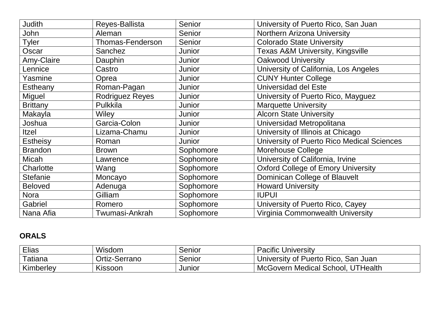| <b>Judith</b>   | Reyes-Ballista         | Senior    | University of Puerto Rico, San Juan        |
|-----------------|------------------------|-----------|--------------------------------------------|
| John            | Aleman                 | Senior    | <b>Northern Arizona University</b>         |
| <b>Tyler</b>    | Thomas-Fenderson       | Senior    | <b>Colorado State University</b>           |
| Oscar           | Sanchez                | Junior    | Texas A&M University, Kingsville           |
| Amy-Claire      | Dauphin                | Junior    | <b>Oakwood University</b>                  |
| Lennice         | Castro                 | Junior    | University of California, Los Angeles      |
| Yasmine         | Oprea                  | Junior    | <b>CUNY Hunter College</b>                 |
| Estheany        | Roman-Pagan            | Junior    | Universidad del Este                       |
| Miguel          | <b>Rodriguez Reyes</b> | Junior    | University of Puerto Rico, Mayguez         |
| <b>Brittany</b> | Pulkkila               | Junior    | <b>Marquette University</b>                |
| Makayla         | Wiley                  | Junior    | <b>Alcorn State University</b>             |
| Joshua          | Garcia-Colon           | Junior    | Universidad Metropolitana                  |
| Itzel           | Lizama-Chamu           | Junior    | University of Illinois at Chicago          |
| <b>Estheisy</b> | Roman                  | Junior    | University of Puerto Rico Medical Sciences |
| <b>Brandon</b>  | <b>Brown</b>           | Sophomore | <b>Morehouse College</b>                   |
| Micah           | Lawrence               | Sophomore | University of California, Irvine           |
| Charlotte       | Wang                   | Sophomore | <b>Oxford College of Emory University</b>  |
| <b>Stefanie</b> | Moncayo                | Sophomore | Dominican College of Blauvelt              |
| <b>Beloved</b>  | Adenuga                | Sophomore | <b>Howard University</b>                   |
| <b>Nora</b>     | Gilliam                | Sophomore | <b>IUPUI</b>                               |
| Gabriel         | Romero                 | Sophomore | University of Puerto Rico, Cayey           |
| Nana Afia       | Twumasi-Ankrah         | Sophomore | Virginia Commonwealth University           |

| <b>Elias</b> | Wisdom        | Senior | <b>Pacific University</b>           |
|--------------|---------------|--------|-------------------------------------|
| Tatiana      | Ortiz-Serrano | Senior | University of Puerto Rico, San Juan |
| Kimberley    | Kissoon       | Junior | ' McGovern Medical School, UTHealth |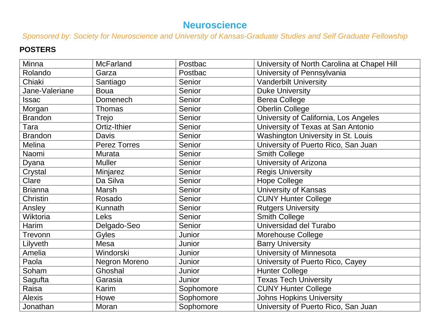# **Neuroscience**

*Sponsored by: Society for Neuroscience and University of Kansas-Graduate Studies and Self Graduate Fellowship*

| Minna           | <b>McFarland</b>    | Postbac   | University of North Carolina at Chapel Hill |
|-----------------|---------------------|-----------|---------------------------------------------|
| Rolando         | Garza               | Postbac   | University of Pennsylvania                  |
| Chiaki          | Santiago            | Senior    | <b>Vanderbilt University</b>                |
| Jane-Valeriane  | <b>Boua</b>         | Senior    | <b>Duke University</b>                      |
| Issac           | <b>Domenech</b>     | Senior    | <b>Berea College</b>                        |
| Morgan          | <b>Thomas</b>       | Senior    | <b>Oberlin College</b>                      |
| <b>Brandon</b>  | Trejo               | Senior    | University of California, Los Angeles       |
| Tara            | Ortiz-Ithier        | Senior    | University of Texas at San Antonio          |
| <b>Brandon</b>  | <b>Davis</b>        | Senior    | Washington University in St. Louis          |
| Melina          | <b>Perez Torres</b> | Senior    | University of Puerto Rico, San Juan         |
| Naomi           | <b>Murata</b>       | Senior    | <b>Smith College</b>                        |
| Dyana           | <b>Muller</b>       | Senior    | University of Arizona                       |
| Crystal         | Minjarez            | Senior    | <b>Regis University</b>                     |
| Clare           | Da Silva            | Senior    | <b>Hope College</b>                         |
| <b>Brianna</b>  | Marsh               | Senior    | <b>University of Kansas</b>                 |
| <b>Christin</b> | Rosado              | Senior    | <b>CUNY Hunter College</b>                  |
| Ansley          | Kunnath             | Senior    | <b>Rutgers University</b>                   |
| Wiktoria        | <b>Leks</b>         | Senior    | <b>Smith College</b>                        |
| <b>Harim</b>    | Delgado-Seo         | Senior    | Universidad del Turabo                      |
| Trevonn         | Gyles               | Junior    | Morehouse College                           |
| Lilyveth        | Mesa                | Junior    | <b>Barry University</b>                     |
| Amelia          | Windorski           | Junior    | University of Minnesota                     |
| Paola           | Negron Moreno       | Junior    | University of Puerto Rico, Cayey            |
| Soham           | Ghoshal             | Junior    | <b>Hunter College</b>                       |
| Sagufta         | Garasia             | Junior    | <b>Texas Tech University</b>                |
| Raisa           | Karim               | Sophomore | <b>CUNY Hunter College</b>                  |
| <b>Alexis</b>   | Howe                | Sophomore | <b>Johns Hopkins University</b>             |
| Jonathan        | Moran               | Sophomore | University of Puerto Rico, San Juan         |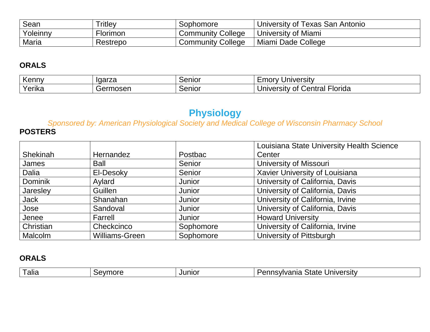| Sean     | <b>Tritley</b> | Sophomore                | University of Texas San Antonio |
|----------|----------------|--------------------------|---------------------------------|
| Yoleinny | -<br>Florimon  | <b>Community College</b> | University of Miami             |
| Maria    | Restrepo       | <b>Community College</b> | Miami Dade College              |

| Kenny  | Igarza | Senior | Iniversity<br>— ⊔∪Orv                              |
|--------|--------|--------|----------------------------------------------------|
| Yerika | າosen  | Senior | -lorida<br><b>Jniversity</b><br>Central<br>0t<br>v |

# **Physiology**

*Sponsored by: American Physiological Society and Medical College of Wisconsin Pharmacy School* **POSTERS**

|                 |                       |           | Louisiana State University Health Science |
|-----------------|-----------------------|-----------|-------------------------------------------|
| <b>Shekinah</b> | Hernandez             | Postbac   | Center                                    |
| James           | <b>Ball</b>           | Senior    | <b>University of Missouri</b>             |
| Dalia           | El-Desoky             | Senior    | Xavier University of Louisiana            |
| <b>Dominik</b>  | Aylard                | Junior    | University of California, Davis           |
| Jaresley        | Guillen               | Junior    | University of California, Davis           |
| Jack            | Shanahan              | Junior    | University of California, Irvine          |
| Jose            | Sandoval              | Junior    | University of California, Davis           |
| Jenee           | Farrell               | Junior    | <b>Howard University</b>                  |
| Christian       | Checkcinco            | Sophomore | University of California, Irvine          |
| <b>Malcolm</b>  | <b>Williams-Green</b> | Sophomore | University of Pittsburgh                  |

| ----<br>alla<br>nor<br>ור | $\mathsf{u}$<br>אוח | univers.<br>novih<br>n 17<br>$\sim$<br>י ר<br>ът.<br>. CI SILV<br>$\cdots$<br>на<br>.<br>$\mathbf{v}$<br>лак<br>$\cdots$ |  |
|---------------------------|---------------------|--------------------------------------------------------------------------------------------------------------------------|--|
|---------------------------|---------------------|--------------------------------------------------------------------------------------------------------------------------|--|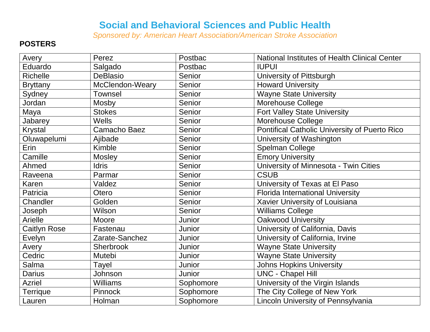### **Social and Behavioral Sciences and Public Health**

*Sponsored by: American Heart Association/American Stroke Association*

| Avery               | Perez           | Postbac   | National Institutes of Health Clinical Center |
|---------------------|-----------------|-----------|-----------------------------------------------|
| Eduardo             | Salgado         | Postbac   | <b>IUPUI</b>                                  |
| Richelle            | <b>DeBlasio</b> | Senior    | University of Pittsburgh                      |
| <b>Bryttany</b>     | McClendon-Weary | Senior    | <b>Howard University</b>                      |
| Sydney              | <b>Townsel</b>  | Senior    | <b>Wayne State University</b>                 |
| Jordan              | Mosby           | Senior    | Morehouse College                             |
| Maya                | <b>Stokes</b>   | Senior    | <b>Fort Valley State University</b>           |
| Jabarey             | <b>Wells</b>    | Senior    | <b>Morehouse College</b>                      |
| Krystal             | Camacho Baez    | Senior    | Pontifical Catholic University of Puerto Rico |
| Oluwapelumi         | Ajibade         | Senior    | University of Washington                      |
| Erin                | Kimble          | Senior    | <b>Spelman College</b>                        |
| Camille             | Mosley          | Senior    | <b>Emory University</b>                       |
| Ahmed               | <b>Idris</b>    | Senior    | University of Minnesota - Twin Cities         |
| Raveena             | Parmar          | Senior    | <b>CSUB</b>                                   |
| Karen               | Valdez          | Senior    | University of Texas at El Paso                |
| Patricia            | Otero           | Senior    | <b>Florida International University</b>       |
| Chandler            | Golden          | Senior    | Xavier University of Louisiana                |
| Joseph              | Wilson          | Senior    | <b>Williams College</b>                       |
| Arielle             | Moore           | Junior    | <b>Oakwood University</b>                     |
| <b>Caitlyn Rose</b> | Fastenau        | Junior    | University of California, Davis               |
| Evelyn              | Zarate-Sanchez  | Junior    | University of California, Irvine              |
| Avery               | Sherbrook       | Junior    | <b>Wayne State University</b>                 |
| Cedric              | <b>Mutebi</b>   | Junior    | <b>Wayne State University</b>                 |
| Salma               | Tayel           | Junior    | <b>Johns Hopkins University</b>               |
| <b>Darius</b>       | Johnson         | Junior    | <b>UNC - Chapel Hill</b>                      |
| Azriel              | <b>Williams</b> | Sophomore | University of the Virgin Islands              |
| <b>Terrique</b>     | Pinnock         | Sophomore | The City College of New York                  |
| Lauren              | Holman          | Sophomore | Lincoln University of Pennsylvania            |